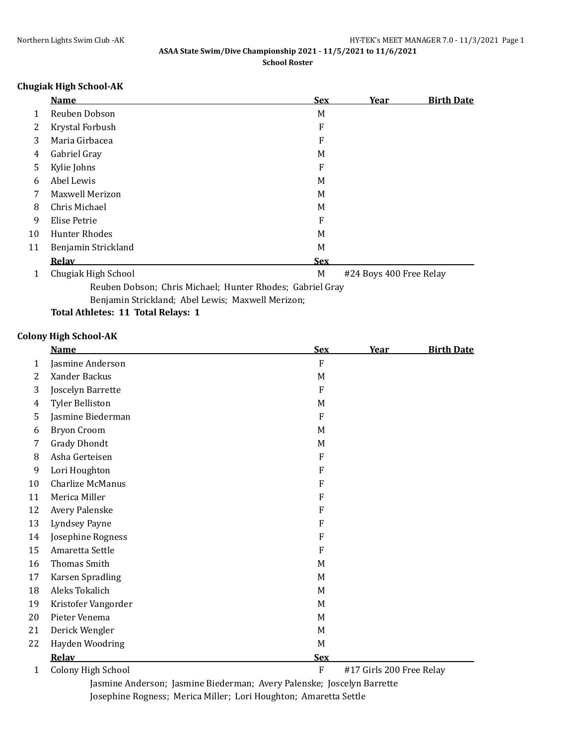### **Chugiak High School-AK**

|    | <b>Name</b>                                               | <b>Sex</b> | <u>Year</u>             | <b>Birth Date</b> |
|----|-----------------------------------------------------------|------------|-------------------------|-------------------|
| 1  | Reuben Dobson                                             | M          |                         |                   |
| 2  | Krystal Forbush                                           | F          |                         |                   |
| 3  | Maria Girbacea                                            | F          |                         |                   |
| 4  | Gabriel Gray                                              | M          |                         |                   |
| 5  | Kylie Johns                                               | F          |                         |                   |
| 6  | Abel Lewis                                                | M          |                         |                   |
| 7  | Maxwell Merizon                                           | M          |                         |                   |
| 8  | Chris Michael                                             | M          |                         |                   |
| 9  | Elise Petrie                                              | F          |                         |                   |
| 10 | <b>Hunter Rhodes</b>                                      | M          |                         |                   |
| 11 | Benjamin Strickland                                       | M          |                         |                   |
|    | <b>Relav</b>                                              | <b>Sex</b> |                         |                   |
| 1  | Chugiak High School                                       | M          | #24 Boys 400 Free Relay |                   |
|    | Reuben Dobson; Chris Michael; Hunter Rhodes; Gabriel Gray |            |                         |                   |

Benjamin Strickland; Abel Lewis; Maxwell Merizon;

### **Total Athletes: 11 Total Relays: 1**

### **Colony High School-AK**

|    | <b>Name</b>               | <b>Sex</b>     | Year                     | <b>Birth Date</b> |
|----|---------------------------|----------------|--------------------------|-------------------|
| 1  | Jasmine Anderson          | $\overline{F}$ |                          |                   |
| 2  | Xander Backus             | M              |                          |                   |
| 3  | Joscelyn Barrette         | F              |                          |                   |
| 4  | <b>Tyler Belliston</b>    | M              |                          |                   |
| 5  | Jasmine Biederman         | $\mathbf{F}$   |                          |                   |
| 6  | <b>Bryon Croom</b>        | M              |                          |                   |
| 7  | <b>Grady Dhondt</b>       | M              |                          |                   |
| 8  | Asha Gerteisen            | F              |                          |                   |
| 9  | Lori Houghton             | F              |                          |                   |
| 10 | Charlize McManus          | F              |                          |                   |
| 11 | Merica Miller             | F              |                          |                   |
| 12 | Avery Palenske            | F              |                          |                   |
| 13 | Lyndsey Payne             | F              |                          |                   |
| 14 | Josephine Rogness         | F              |                          |                   |
| 15 | Amaretta Settle           | F              |                          |                   |
| 16 | <b>Thomas Smith</b>       | M              |                          |                   |
| 17 | <b>Karsen Spradling</b>   | M              |                          |                   |
| 18 | Aleks Tokalich            | M              |                          |                   |
| 19 | Kristofer Vangorder       | M              |                          |                   |
| 20 | Pieter Venema             | M              |                          |                   |
| 21 | Derick Wengler            | M              |                          |                   |
| 22 | Hayden Woodring           | M              |                          |                   |
|    | Relav                     | <b>Sex</b>     |                          |                   |
| 1  | <b>Colony High School</b> | ${\bf F}$      | #17 Girls 200 Free Relay |                   |

Jasmine Anderson; Jasmine Biederman; Avery Palenske; Joscelyn Barrette Josephine Rogness; Merica Miller; Lori Houghton; Amaretta Settle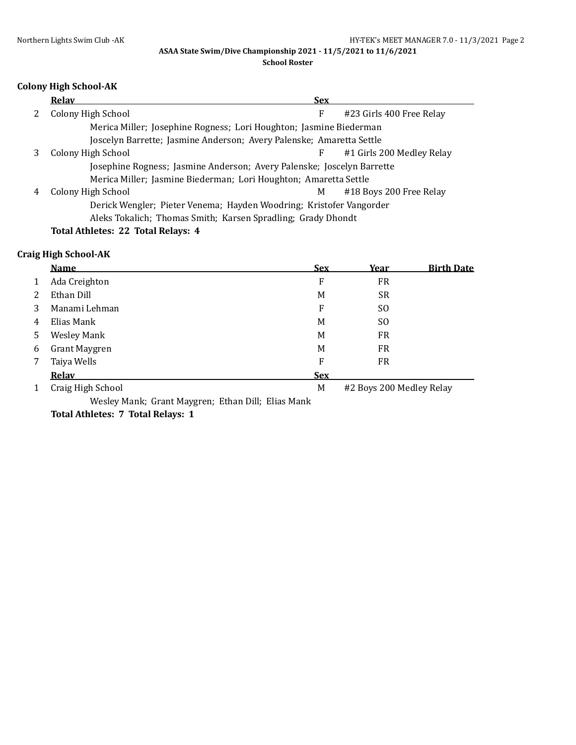**ASAA State Swim/Dive Championship 2021 - 11/5/2021 to 11/6/2021**

#### **School Roster**

## **Colony High School-AK**

|   | <b>Relay</b>                                                           | <b>Sex</b>                                                   |                           |  |  |  |
|---|------------------------------------------------------------------------|--------------------------------------------------------------|---------------------------|--|--|--|
|   | Colony High School                                                     | F                                                            | #23 Girls 400 Free Relay  |  |  |  |
|   | Merica Miller; Josephine Rogness; Lori Houghton; Jasmine Biederman     |                                                              |                           |  |  |  |
|   | Joscelyn Barrette; Jasmine Anderson; Avery Palenske; Amaretta Settle   |                                                              |                           |  |  |  |
|   | Colony High School                                                     | F                                                            | #1 Girls 200 Medley Relay |  |  |  |
|   | Josephine Rogness; Jasmine Anderson; Avery Palenske; Joscelyn Barrette |                                                              |                           |  |  |  |
|   | Merica Miller; Jasmine Biederman; Lori Houghton; Amaretta Settle       |                                                              |                           |  |  |  |
| 4 | Colony High School                                                     | М                                                            | #18 Boys 200 Free Relay   |  |  |  |
|   | Derick Wengler; Pieter Venema; Hayden Woodring; Kristofer Vangorder    |                                                              |                           |  |  |  |
|   |                                                                        | Aleks Tokalich; Thomas Smith; Karsen Spradling; Grady Dhondt |                           |  |  |  |
|   | Total Athletes: 22 Total Relays: 4                                     |                                                              |                           |  |  |  |

### **Craig High School-AK**

|   | <b>Name</b>        | <u>Sex</u> | <u>Year</u>              | <b>Birth Date</b> |
|---|--------------------|------------|--------------------------|-------------------|
|   | Ada Creighton      | F          | <b>FR</b>                |                   |
| 2 | Ethan Dill         | M          | <b>SR</b>                |                   |
| 3 | Manami Lehman      | F          | SO.                      |                   |
| 4 | Elias Mank         | M          | SO.                      |                   |
| 5 | <b>Wesley Mank</b> | M          | <b>FR</b>                |                   |
| 6 | Grant Maygren      | M          | <b>FR</b>                |                   |
|   | Taiya Wells        | F          | <b>FR</b>                |                   |
|   | <b>Relav</b>       | <b>Sex</b> |                          |                   |
|   | Craig High School  | M          | #2 Boys 200 Medley Relay |                   |

Wesley Mank; Grant Maygren; Ethan Dill; Elias Mank **Total Athletes: 7 Total Relays: 1**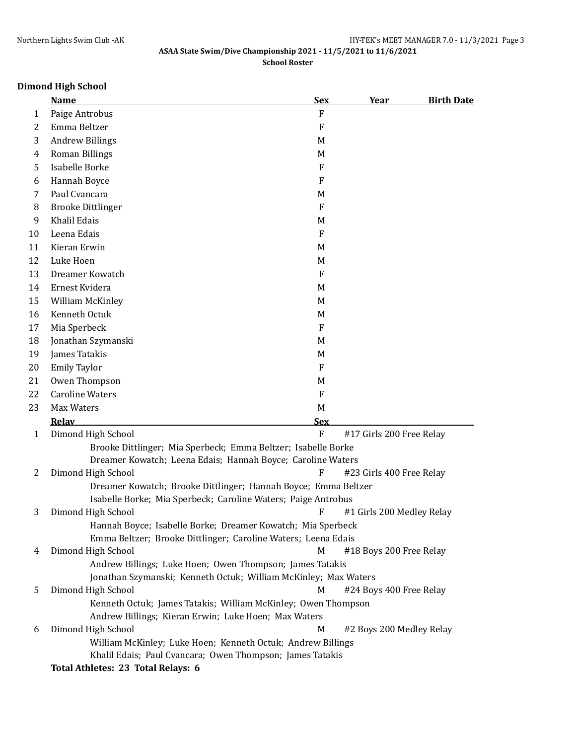# **Dimond High School**

|              | <b>Name</b>                                                                                     | <b>Sex</b>                | <u>Year</u>               | <b>Birth Date</b> |
|--------------|-------------------------------------------------------------------------------------------------|---------------------------|---------------------------|-------------------|
| 1            | Paige Antrobus                                                                                  | ${\bf F}$                 |                           |                   |
| 2            | Emma Beltzer                                                                                    | $\boldsymbol{\mathrm{F}}$ |                           |                   |
| 3            | <b>Andrew Billings</b>                                                                          | M                         |                           |                   |
| 4            | Roman Billings                                                                                  | M                         |                           |                   |
| 5            | Isabelle Borke                                                                                  | F                         |                           |                   |
| 6            | Hannah Boyce                                                                                    | F                         |                           |                   |
| 7            | Paul Cvancara                                                                                   | M                         |                           |                   |
| 8            | <b>Brooke Dittlinger</b>                                                                        | F                         |                           |                   |
| 9            | Khalil Edais                                                                                    | M                         |                           |                   |
| 10           | Leena Edais                                                                                     | F                         |                           |                   |
| 11           | Kieran Erwin                                                                                    | M                         |                           |                   |
| 12           | Luke Hoen                                                                                       | M                         |                           |                   |
| 13           | Dreamer Kowatch                                                                                 | F                         |                           |                   |
| 14           | Ernest Kvidera                                                                                  | M                         |                           |                   |
| 15           | William McKinley                                                                                | M                         |                           |                   |
| 16           | Kenneth Octuk                                                                                   | M                         |                           |                   |
| 17           | Mia Sperbeck                                                                                    | F                         |                           |                   |
| 18           | Jonathan Szymanski                                                                              | M                         |                           |                   |
| 19           | James Tatakis                                                                                   | M                         |                           |                   |
| 20           | <b>Emily Taylor</b>                                                                             | F                         |                           |                   |
| 21           | Owen Thompson                                                                                   | M                         |                           |                   |
| 22           | <b>Caroline Waters</b>                                                                          | F                         |                           |                   |
| 23           | Max Waters                                                                                      | M                         |                           |                   |
|              | Relav                                                                                           | <b>Sex</b>                |                           |                   |
| $\mathbf{1}$ | Dimond High School                                                                              | ${\bf F}$                 | #17 Girls 200 Free Relay  |                   |
|              | Brooke Dittlinger; Mia Sperbeck; Emma Beltzer; Isabelle Borke                                   |                           |                           |                   |
|              | Dreamer Kowatch; Leena Edais; Hannah Boyce; Caroline Waters                                     |                           |                           |                   |
| 2            | Dimond High School                                                                              | F                         | #23 Girls 400 Free Relay  |                   |
|              | Dreamer Kowatch; Brooke Dittlinger; Hannah Boyce; Emma Beltzer                                  |                           |                           |                   |
|              | Isabelle Borke; Mia Sperbeck; Caroline Waters; Paige Antrobus                                   |                           |                           |                   |
| 3            | Dimond High School                                                                              | F                         | #1 Girls 200 Medley Relay |                   |
|              | Hannah Boyce; Isabelle Borke; Dreamer Kowatch; Mia Sperbeck                                     |                           |                           |                   |
|              | Emma Beltzer; Brooke Dittlinger; Caroline Waters; Leena Edais                                   |                           |                           |                   |
| 4            | Dimond High School                                                                              | M                         | #18 Boys 200 Free Relay   |                   |
|              | Andrew Billings; Luke Hoen; Owen Thompson; James Tatakis                                        |                           |                           |                   |
|              | Jonathan Szymanski; Kenneth Octuk; William McKinley; Max Waters                                 |                           |                           |                   |
| 5            | Dimond High School                                                                              | M                         | #24 Boys 400 Free Relay   |                   |
|              | Kenneth Octuk; James Tatakis; William McKinley; Owen Thompson                                   |                           |                           |                   |
|              | Andrew Billings; Kieran Erwin; Luke Hoen; Max Waters                                            |                           |                           |                   |
| 6            | Dimond High School                                                                              | M                         | #2 Boys 200 Medley Relay  |                   |
|              | William McKinley; Luke Hoen; Kenneth Octuk; Andrew Billings                                     |                           |                           |                   |
|              | Khalil Edais; Paul Cvancara; Owen Thompson; James Tatakis<br>Total Athlotocy 22 Total Dolovey 6 |                           |                           |                   |

**Total Athletes: 23 Total Relays: 6**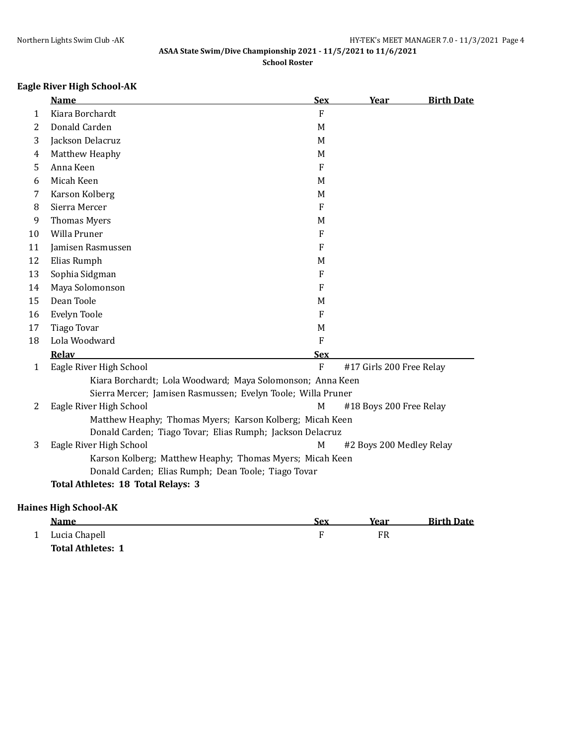# **Eagle River High School-AK**

|                | <b>Name</b>                                         | <b>Sex</b>                                                   | Year                     | <b>Birth Date</b> |
|----------------|-----------------------------------------------------|--------------------------------------------------------------|--------------------------|-------------------|
| 1              | Kiara Borchardt                                     | $\mathbf{F}$                                                 |                          |                   |
| 2              | Donald Carden                                       | M                                                            |                          |                   |
| 3              | Jackson Delacruz                                    | M                                                            |                          |                   |
| 4              | Matthew Heaphy                                      | M                                                            |                          |                   |
| 5              | Anna Keen                                           | $\mathbf{F}$                                                 |                          |                   |
| 6              | Micah Keen                                          | M                                                            |                          |                   |
| 7              | Karson Kolberg                                      | M                                                            |                          |                   |
| 8              | Sierra Mercer                                       | $\overline{F}$                                               |                          |                   |
| 9              | <b>Thomas Myers</b>                                 | M                                                            |                          |                   |
| 10             | Willa Pruner                                        | $\overline{F}$                                               |                          |                   |
| 11             | Jamisen Rasmussen                                   | F                                                            |                          |                   |
| 12             | Elias Rumph                                         | M                                                            |                          |                   |
| 13             | Sophia Sidgman                                      | ${\bf F}$                                                    |                          |                   |
| 14             | Maya Solomonson                                     | $\mathbf{F}$                                                 |                          |                   |
| 15             | Dean Toole                                          | M                                                            |                          |                   |
| 16             | Evelyn Toole                                        | $\mathbf{F}$                                                 |                          |                   |
| 17             | <b>Tiago Tovar</b>                                  | M                                                            |                          |                   |
| 18             | Lola Woodward                                       | $\rm F$                                                      |                          |                   |
|                | Relav                                               | <b>Sex</b>                                                   |                          |                   |
| $\mathbf{1}$   | Eagle River High School                             | $\overline{F}$                                               | #17 Girls 200 Free Relay |                   |
|                |                                                     | Kiara Borchardt; Lola Woodward; Maya Solomonson; Anna Keen   |                          |                   |
|                |                                                     | Sierra Mercer; Jamisen Rasmussen; Evelyn Toole; Willa Pruner |                          |                   |
| $\overline{2}$ | Eagle River High School                             | M                                                            | #18 Boys 200 Free Relay  |                   |
|                |                                                     | Matthew Heaphy; Thomas Myers; Karson Kolberg; Micah Keen     |                          |                   |
|                |                                                     | Donald Carden; Tiago Tovar; Elias Rumph; Jackson Delacruz    |                          |                   |
| 3              | Eagle River High School                             | M                                                            | #2 Boys 200 Medley Relay |                   |
|                |                                                     | Karson Kolberg; Matthew Heaphy; Thomas Myers; Micah Keen     |                          |                   |
|                | Donald Carden; Elias Rumph; Dean Toole; Tiago Tovar |                                                              |                          |                   |
|                | Total Athletes: 18 Total Relays: 3                  |                                                              |                          |                   |
|                | <b>Haines High School-AK</b>                        |                                                              |                          |                   |

| <b>Name</b>              | Sex | Year | <b>Birth Date</b> |
|--------------------------|-----|------|-------------------|
| Lucia Chapell            |     | FR   |                   |
| <b>Total Athletes: 1</b> |     |      |                   |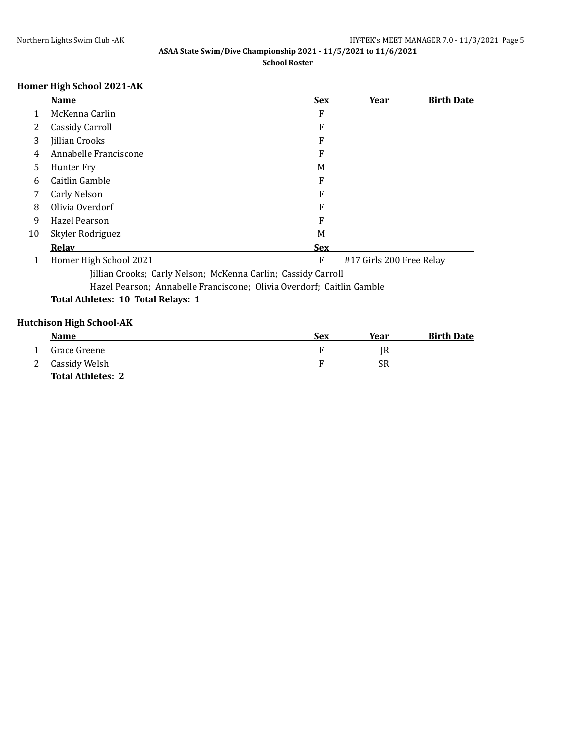# **Homer High School 2021-AK**

|                                                                       | <b>Name</b>                        | <b>Sex</b> | Year                     | <b>Birth Date</b> |  |
|-----------------------------------------------------------------------|------------------------------------|------------|--------------------------|-------------------|--|
| 1                                                                     | McKenna Carlin                     | F          |                          |                   |  |
| 2                                                                     | Cassidy Carroll                    | F          |                          |                   |  |
| 3                                                                     | <b>Jillian Crooks</b>              | F          |                          |                   |  |
| 4                                                                     | Annabelle Franciscone              | F          |                          |                   |  |
| 5                                                                     | Hunter Fry                         | M          |                          |                   |  |
| 6                                                                     | Caitlin Gamble                     | F          |                          |                   |  |
| 7                                                                     | Carly Nelson                       | F          |                          |                   |  |
| 8                                                                     | Olivia Overdorf                    | F          |                          |                   |  |
| 9                                                                     | Hazel Pearson                      | F          |                          |                   |  |
| 10                                                                    | Skyler Rodriguez                   | М          |                          |                   |  |
|                                                                       | Relav                              | <b>Sex</b> |                          |                   |  |
| 1                                                                     | Homer High School 2021             | F          | #17 Girls 200 Free Relay |                   |  |
| Jillian Crooks; Carly Nelson; McKenna Carlin; Cassidy Carroll         |                                    |            |                          |                   |  |
| Hazel Pearson; Annabelle Franciscone; Olivia Overdorf; Caitlin Gamble |                                    |            |                          |                   |  |
|                                                                       | Total Athletes: 10 Total Relays: 1 |            |                          |                   |  |
|                                                                       |                                    |            |                          |                   |  |

# **Hutchison High School-AK**

| <b>Name</b>              | Sex | Year | <b>Birth Date</b> |
|--------------------------|-----|------|-------------------|
| Grace Greene             |     | IR   |                   |
| 2 Cassidy Welsh          |     | SR   |                   |
| <b>Total Athletes: 2</b> |     |      |                   |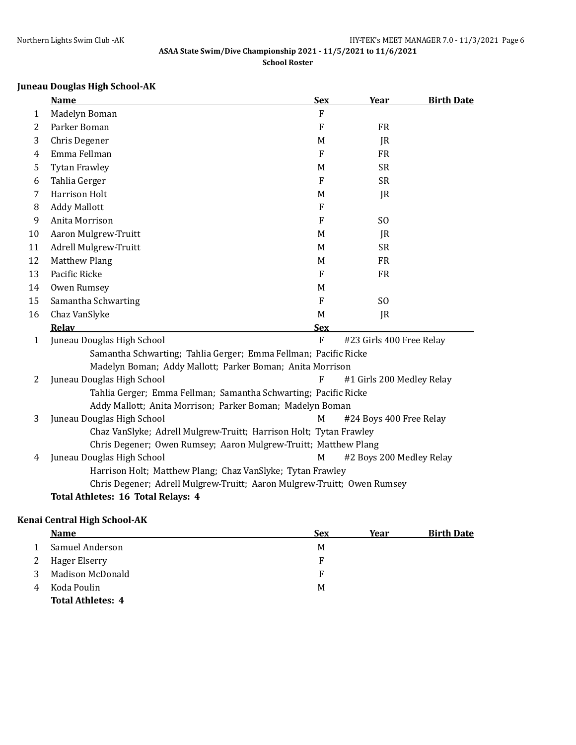# **Juneau Douglas High School-AK**

|              | <b>Name</b>                                                             | <b>Sex</b>     | Year                      | <b>Birth Date</b> |
|--------------|-------------------------------------------------------------------------|----------------|---------------------------|-------------------|
| 1            | Madelyn Boman                                                           | F              |                           |                   |
| 2            | Parker Boman                                                            | F              | <b>FR</b>                 |                   |
| 3            | Chris Degener                                                           | M              | JR                        |                   |
| 4            | Emma Fellman                                                            | $\mathbf{F}$   | <b>FR</b>                 |                   |
| 5            | <b>Tytan Frawley</b>                                                    | M              | <b>SR</b>                 |                   |
| 6            | Tahlia Gerger                                                           | $\overline{F}$ | <b>SR</b>                 |                   |
| 7            | <b>Harrison Holt</b>                                                    | M              | JR                        |                   |
| 8            | <b>Addy Mallott</b>                                                     | F              |                           |                   |
| 9            | Anita Morrison                                                          | F              | S <sub>0</sub>            |                   |
| 10           | Aaron Mulgrew-Truitt                                                    | M              | JR                        |                   |
| 11           | Adrell Mulgrew-Truitt                                                   | M              | <b>SR</b>                 |                   |
| 12           | <b>Matthew Plang</b>                                                    | M              | <b>FR</b>                 |                   |
| 13           | Pacific Ricke                                                           | F              | <b>FR</b>                 |                   |
| 14           | Owen Rumsey                                                             | M              |                           |                   |
| 15           | Samantha Schwarting                                                     | $\mathbf{F}$   | S <sub>O</sub>            |                   |
| 16           | Chaz VanSlyke                                                           | M              | JR                        |                   |
|              | Relav                                                                   | <b>Sex</b>     |                           |                   |
| $\mathbf{1}$ | Juneau Douglas High School                                              | $\overline{F}$ | #23 Girls 400 Free Relay  |                   |
|              | Samantha Schwarting; Tahlia Gerger; Emma Fellman; Pacific Ricke         |                |                           |                   |
|              | Madelyn Boman; Addy Mallott; Parker Boman; Anita Morrison               |                |                           |                   |
| 2            | Juneau Douglas High School                                              | F              | #1 Girls 200 Medley Relay |                   |
|              | Tahlia Gerger; Emma Fellman; Samantha Schwarting; Pacific Ricke         |                |                           |                   |
|              | Addy Mallott; Anita Morrison; Parker Boman; Madelyn Boman               |                |                           |                   |
| 3            | Juneau Douglas High School                                              | M              | #24 Boys 400 Free Relay   |                   |
|              | Chaz VanSlyke; Adrell Mulgrew-Truitt; Harrison Holt; Tytan Frawley      |                |                           |                   |
|              | Chris Degener; Owen Rumsey; Aaron Mulgrew-Truitt; Matthew Plang         |                |                           |                   |
| 4            | Juneau Douglas High School                                              | M              | #2 Boys 200 Medley Relay  |                   |
|              | Harrison Holt; Matthew Plang; Chaz VanSlyke; Tytan Frawley              |                |                           |                   |
|              | Chris Degener; Adrell Mulgrew-Truitt; Aaron Mulgrew-Truitt; Owen Rumsey |                |                           |                   |
|              | Total Athletes: 16 Total Relays: 4                                      |                |                           |                   |

## **Kenai Central High School-AK**

|   | <b>Name</b>              | <b>Sex</b> | Year | <b>Birth Date</b> |
|---|--------------------------|------------|------|-------------------|
|   | Samuel Anderson          | M          |      |                   |
| 2 | Hager Elserry            | F          |      |                   |
|   | Madison McDonald         | F          |      |                   |
|   | Koda Poulin              | M          |      |                   |
|   | <b>Total Athletes: 4</b> |            |      |                   |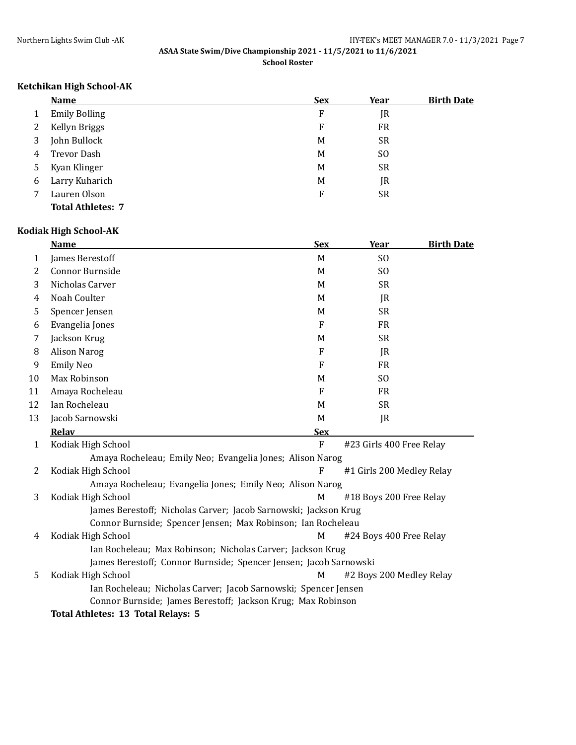#### **Ketchikan High School-AK**

|   | <b>Name</b>              | <u>Sex</u> | <u>Year</u> | <b>Birth Date</b> |
|---|--------------------------|------------|-------------|-------------------|
|   | <b>Emily Bolling</b>     | F          | JR          |                   |
| 2 | Kellyn Briggs            | F          | <b>FR</b>   |                   |
| 3 | John Bullock             | M          | SR          |                   |
| 4 | Trevor Dash              | M          | SO.         |                   |
| 5 | Kyan Klinger             | M          | SR          |                   |
| 6 | Larry Kuharich           | M          | JR          |                   |
|   | Lauren Olson             | F          | <b>SR</b>   |                   |
|   | <b>Total Athletes: 7</b> |            |             |                   |

#### **Kodiak High School-AK**

|    | <b>Name</b>         | <b>Sex</b> | <b>Year</b>              | <b>Birth Date</b> |
|----|---------------------|------------|--------------------------|-------------------|
| 1  | James Berestoff     | M          | S <sub>O</sub>           |                   |
| 2  | Connor Burnside     | M          | SO.                      |                   |
| 3  | Nicholas Carver     | M          | <b>SR</b>                |                   |
| 4  | Noah Coulter        | M          | JR                       |                   |
| 5  | Spencer Jensen      | M          | <b>SR</b>                |                   |
| 6  | Evangelia Jones     | F          | <b>FR</b>                |                   |
|    | Jackson Krug        | M          | <b>SR</b>                |                   |
| 8  | <b>Alison Narog</b> | F          | JR                       |                   |
| 9  | <b>Emily Neo</b>    | F          | <b>FR</b>                |                   |
| 10 | Max Robinson        | M          | SO.                      |                   |
| 11 | Amaya Rocheleau     | F          | <b>FR</b>                |                   |
| 12 | Ian Rocheleau       | M          | <b>SR</b>                |                   |
| 13 | Jacob Sarnowski     | M          | JR                       |                   |
|    | Relav               | <b>Sex</b> |                          |                   |
| 1  | Kodiak High School  | ${\bf F}$  | #23 Girls 400 Free Relay |                   |

Amaya Rocheleau; Emily Neo; Evangelia Jones; Alison Narog 2 Kodiak High School **F** #1 Girls 200 Medley Relay Amaya Rocheleau; Evangelia Jones; Emily Neo; Alison Narog 3 Kodiak High School M #18 Boys 200 Free Relay James Berestoff; Nicholas Carver; Jacob Sarnowski; Jackson Krug Connor Burnside; Spencer Jensen; Max Robinson; Ian Rocheleau 4 Kodiak High School M #24 Boys 400 Free Relay Ian Rocheleau; Max Robinson; Nicholas Carver; Jackson Krug James Berestoff; Connor Burnside; Spencer Jensen; Jacob Sarnowski 5 Kodiak High School M #2 Boys 200 Medley Relay Ian Rocheleau; Nicholas Carver; Jacob Sarnowski; Spencer Jensen Connor Burnside; James Berestoff; Jackson Krug; Max Robinson

**Total Athletes: 13 Total Relays: 5**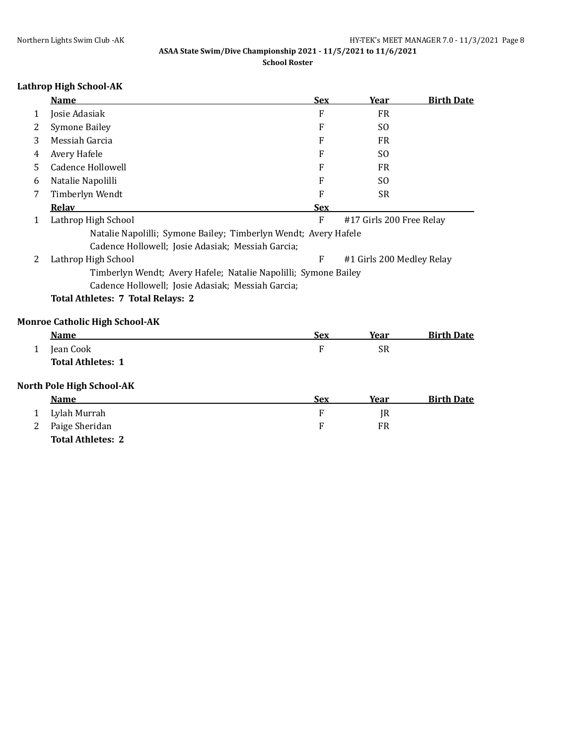# **Lathrop High School-AK**

|              | <b>Name</b>                                                     | <b>Sex</b>  | <b>Year</b>               | <b>Birth Date</b> |
|--------------|-----------------------------------------------------------------|-------------|---------------------------|-------------------|
| 1            | Josie Adasiak                                                   | F           | <b>FR</b>                 |                   |
| 2            | <b>Symone Bailey</b>                                            | F           | S <sub>0</sub>            |                   |
| 3            | Messiah Garcia                                                  | F           | <b>FR</b>                 |                   |
| 4            | Avery Hafele                                                    | F           | S <sub>0</sub>            |                   |
| 5            | <b>Cadence Hollowell</b>                                        | F           | <b>FR</b>                 |                   |
| 6            | Natalie Napolilli                                               | F           | S <sub>0</sub>            |                   |
| 7            | Timberlyn Wendt                                                 | F           | <b>SR</b>                 |                   |
|              | Relav                                                           | <b>Sex</b>  |                           |                   |
| 1            | Lathrop High School                                             | ${\bf F}$   | #17 Girls 200 Free Relay  |                   |
|              | Natalie Napolilli; Symone Bailey; Timberlyn Wendt; Avery Hafele |             |                           |                   |
|              | Cadence Hollowell; Josie Adasiak; Messiah Garcia;               |             |                           |                   |
| 2            | Lathrop High School                                             | F           | #1 Girls 200 Medley Relay |                   |
|              | Timberlyn Wendt; Avery Hafele; Natalie Napolilli; Symone Bailey |             |                           |                   |
|              | Cadence Hollowell; Josie Adasiak; Messiah Garcia;               |             |                           |                   |
|              | <b>Total Athletes: 7 Total Relays: 2</b>                        |             |                           |                   |
|              | <b>Monroe Catholic High School-AK</b>                           |             |                           |                   |
|              | <b>Name</b>                                                     | <b>Sex</b>  | Year                      | <b>Birth Date</b> |
| $\mathbf{1}$ | Jean Cook                                                       | $\mathbf F$ | <b>SR</b>                 |                   |
|              | <b>Total Athletes: 1</b>                                        |             |                           |                   |
|              | <b>North Pole High School-AK</b>                                |             |                           |                   |
|              | <b>Name</b>                                                     | <b>Sex</b>  | <b>Year</b>               | <b>Birth Date</b> |
| 1            | Lylah Murrah                                                    | F           | JR                        |                   |
| 2            | Paige Sheridan                                                  | F           | <b>FR</b>                 |                   |
|              | <b>Total Athletes: 2</b>                                        |             |                           |                   |
|              |                                                                 |             |                           |                   |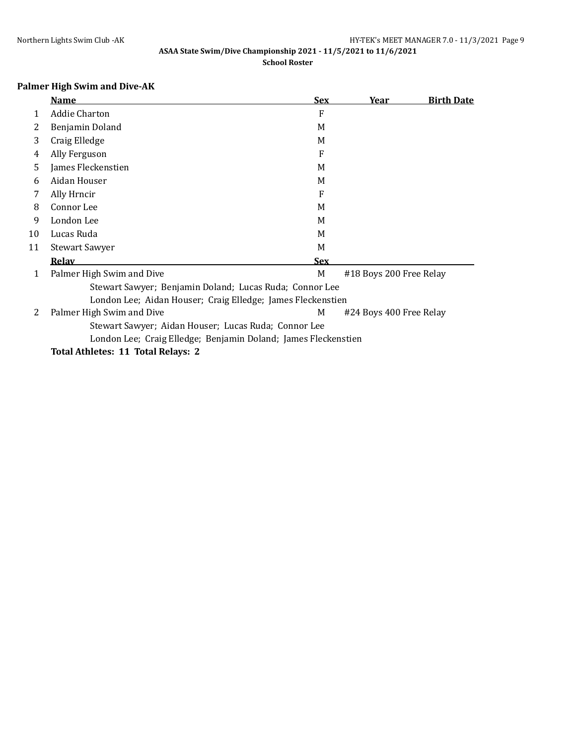# **Palmer High Swim and Dive-AK**

|    | <b>Name</b>                                                    | <u>Sex</u> | <u>Year</u>             | <b>Birth Date</b> |
|----|----------------------------------------------------------------|------------|-------------------------|-------------------|
| 1  | <b>Addie Charton</b>                                           | F          |                         |                   |
| 2  | Benjamin Doland                                                | M          |                         |                   |
| 3  | Craig Elledge                                                  | M          |                         |                   |
| 4  | Ally Ferguson                                                  | F          |                         |                   |
| 5  | James Fleckenstien                                             | M          |                         |                   |
| 6  | Aidan Houser                                                   | M          |                         |                   |
| 7  | Ally Hrncir                                                    | F          |                         |                   |
| 8  | Connor Lee                                                     | M          |                         |                   |
| 9  | London Lee                                                     | M          |                         |                   |
| 10 | Lucas Ruda                                                     | M          |                         |                   |
| 11 | <b>Stewart Sawyer</b>                                          | M          |                         |                   |
|    | <b>Relav</b>                                                   | <b>Sex</b> |                         |                   |
| 1  | Palmer High Swim and Dive                                      | M          | #18 Boys 200 Free Relay |                   |
|    | Stewart Sawyer; Benjamin Doland; Lucas Ruda; Connor Lee        |            |                         |                   |
|    | London Lee; Aidan Houser; Craig Elledge; James Fleckenstien    |            |                         |                   |
| 2  | Palmer High Swim and Dive                                      | M          | #24 Boys 400 Free Relay |                   |
|    | Stewart Sawyer; Aidan Houser; Lucas Ruda; Connor Lee           |            |                         |                   |
|    | London Lee; Craig Elledge; Benjamin Doland; James Fleckenstien |            |                         |                   |
|    | Total Athletes: 11 Total Relays: 2                             |            |                         |                   |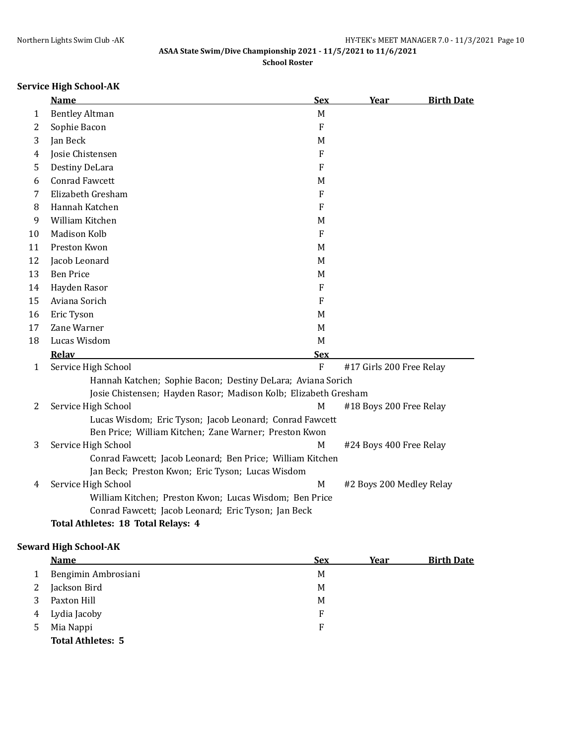# **Service High School-AK**

|    | <b>Name</b>                                                     | <b>Sex</b>                | Year                     | <b>Birth Date</b> |
|----|-----------------------------------------------------------------|---------------------------|--------------------------|-------------------|
| 1  | <b>Bentley Altman</b>                                           | M                         |                          |                   |
| 2  | Sophie Bacon                                                    | ${\bf F}$                 |                          |                   |
| 3  | Jan Beck                                                        | M                         |                          |                   |
| 4  | Josie Chistensen                                                | $\mathbf{F}$              |                          |                   |
| 5  | Destiny DeLara                                                  | $\boldsymbol{\mathrm{F}}$ |                          |                   |
| 6  | <b>Conrad Fawcett</b>                                           | M                         |                          |                   |
| 7  | Elizabeth Gresham                                               | $\mathbf{F}$              |                          |                   |
| 8  | Hannah Katchen                                                  | $\mathbf{F}$              |                          |                   |
| 9  | William Kitchen                                                 | M                         |                          |                   |
| 10 | Madison Kolb                                                    | $\overline{F}$            |                          |                   |
| 11 | Preston Kwon                                                    | M                         |                          |                   |
| 12 | Jacob Leonard                                                   | M                         |                          |                   |
| 13 | <b>Ben Price</b>                                                | M                         |                          |                   |
| 14 | Hayden Rasor                                                    | F                         |                          |                   |
| 15 | Aviana Sorich                                                   | $\mathbf{F}$              |                          |                   |
| 16 | Eric Tyson                                                      | M                         |                          |                   |
| 17 | Zane Warner                                                     | M                         |                          |                   |
| 18 | Lucas Wisdom                                                    | M                         |                          |                   |
|    | Relav                                                           | <b>Sex</b>                |                          |                   |
| 1  | Service High School                                             | F                         | #17 Girls 200 Free Relay |                   |
|    | Hannah Katchen; Sophie Bacon; Destiny DeLara; Aviana Sorich     |                           |                          |                   |
|    | Josie Chistensen; Hayden Rasor; Madison Kolb; Elizabeth Gresham |                           |                          |                   |
| 2  | Service High School                                             | M                         | #18 Boys 200 Free Relay  |                   |
|    | Lucas Wisdom; Eric Tyson; Jacob Leonard; Conrad Fawcett         |                           |                          |                   |
|    | Ben Price; William Kitchen; Zane Warner; Preston Kwon           |                           |                          |                   |
| 3  | Service High School                                             | M                         | #24 Boys 400 Free Relay  |                   |
|    | Conrad Fawcett; Jacob Leonard; Ben Price; William Kitchen       |                           |                          |                   |
|    | Jan Beck; Preston Kwon; Eric Tyson; Lucas Wisdom                |                           |                          |                   |
| 4  | Service High School                                             | M                         | #2 Boys 200 Medley Relay |                   |
|    | William Kitchen; Preston Kwon; Lucas Wisdom; Ben Price          |                           |                          |                   |
|    | Conrad Fawcett; Jacob Leonard; Eric Tyson; Jan Beck             |                           |                          |                   |
|    | Total Athletes: 18 Total Relays: 4                              |                           |                          |                   |

# **Seward High School-AK**

|    | <b>Name</b>              | <b>Sex</b> | Year | <b>Birth Date</b> |
|----|--------------------------|------------|------|-------------------|
|    | Bengimin Ambrosiani      | M          |      |                   |
|    | Jackson Bird             | M          |      |                   |
|    | Paxton Hill              | M          |      |                   |
| 4  | Lydia Jacoby             | F          |      |                   |
| 5. | Mia Nappi                | F          |      |                   |
|    | <b>Total Athletes: 5</b> |            |      |                   |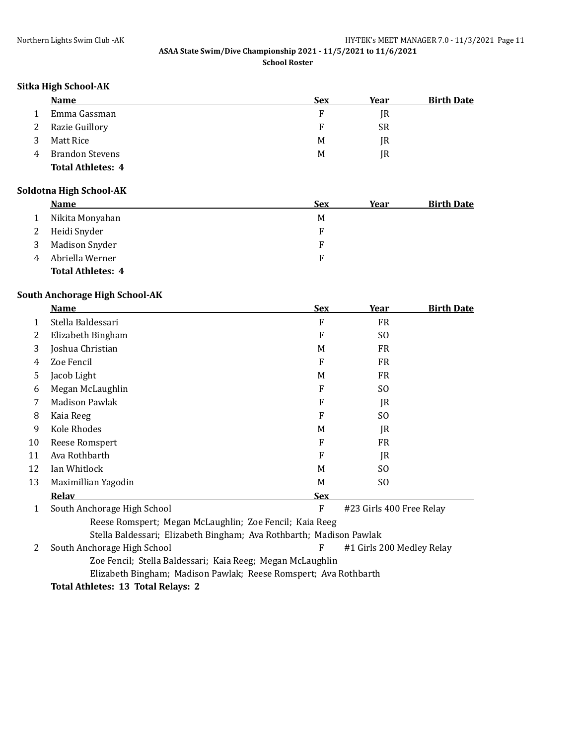## **Sitka High School-AK**

|   | <b>Name</b>              | <u>Sex</u> | Year      | <b>Birth Date</b> |
|---|--------------------------|------------|-----------|-------------------|
|   | Emma Gassman             |            | IR        |                   |
| 2 | Razie Guillory           | F          | <b>SR</b> |                   |
|   | Matt Rice                | M          | IR        |                   |
|   | <b>Brandon Stevens</b>   | M          | IR        |                   |
|   | <b>Total Athletes: 4</b> |            |           |                   |

### **Soldotna High School-AK**

|   | <b>Name</b>              | <b>Sex</b> | Year | <b>Birth Date</b> |
|---|--------------------------|------------|------|-------------------|
| 1 | Nikita Monyahan          | M          |      |                   |
| 2 | Heidi Snyder             |            |      |                   |
| 3 | <b>Madison Snyder</b>    | F          |      |                   |
| 4 | Abriella Werner          | F          |      |                   |
|   | <b>Total Athletes: 4</b> |            |      |                   |

### **South Anchorage High School-AK**

|    | <b>Name</b>                                                         | <b>Sex</b> | Year                      | <b>Birth Date</b> |  |  |
|----|---------------------------------------------------------------------|------------|---------------------------|-------------------|--|--|
| 1  | Stella Baldessari                                                   | F          | <b>FR</b>                 |                   |  |  |
| 2  | Elizabeth Bingham                                                   | F          | SO.                       |                   |  |  |
| 3  | Joshua Christian                                                    | M          | <b>FR</b>                 |                   |  |  |
| 4  | Zoe Fencil                                                          | F          | <b>FR</b>                 |                   |  |  |
| 5  | Jacob Light                                                         | M          | <b>FR</b>                 |                   |  |  |
| 6  | Megan McLaughlin                                                    | F          | SO.                       |                   |  |  |
| 7  | Madison Pawlak                                                      | F          | JR                        |                   |  |  |
| 8  | Kaia Reeg                                                           | F          | SO.                       |                   |  |  |
| 9  | Kole Rhodes                                                         | M          | JR                        |                   |  |  |
| 10 | Reese Romspert                                                      | F          | <b>FR</b>                 |                   |  |  |
| 11 | Ava Rothbarth                                                       | F          | JR                        |                   |  |  |
| 12 | Ian Whitlock                                                        | M          | SO.                       |                   |  |  |
| 13 | Maximillian Yagodin                                                 | M          | SO.                       |                   |  |  |
|    | <b>Relav</b>                                                        | <b>Sex</b> |                           |                   |  |  |
| 1  | South Anchorage High School                                         | F          | #23 Girls 400 Free Relay  |                   |  |  |
|    | Reese Romspert; Megan McLaughlin; Zoe Fencil; Kaia Reeg             |            |                           |                   |  |  |
|    | Stella Baldessari; Elizabeth Bingham; Ava Rothbarth; Madison Pawlak |            |                           |                   |  |  |
| 2  | South Anchorage High School                                         | F          | #1 Girls 200 Medley Relay |                   |  |  |
|    | Zoe Fencil; Stella Baldessari; Kaia Reeg; Megan McLaughlin          |            |                           |                   |  |  |
|    | Elizabeth Bingham; Madison Pawlak; Reese Romspert; Ava Rothbarth    |            |                           |                   |  |  |

**Total Athletes: 13 Total Relays: 2**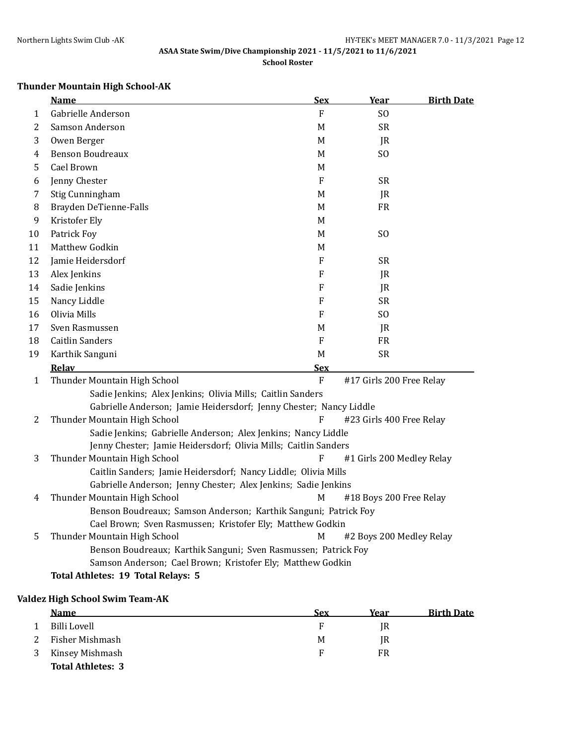# **Thunder Mountain High School-AK**

|    | <b>Name</b>                                                        | <b>Sex</b>     | Year                      | <b>Birth Date</b> |
|----|--------------------------------------------------------------------|----------------|---------------------------|-------------------|
| 1  | Gabrielle Anderson                                                 | F              | S <sub>O</sub>            |                   |
| 2  | Samson Anderson                                                    | M              | <b>SR</b>                 |                   |
| 3  | Owen Berger                                                        | M              | JR                        |                   |
| 4  | <b>Benson Boudreaux</b>                                            | M              | S <sub>O</sub>            |                   |
| 5  | Cael Brown                                                         | M              |                           |                   |
| 6  | Jenny Chester                                                      | F              | <b>SR</b>                 |                   |
| 7  | Stig Cunningham                                                    | M              | JR                        |                   |
| 8  | Brayden DeTienne-Falls                                             | M              | <b>FR</b>                 |                   |
| 9  | Kristofer Ely                                                      | M              |                           |                   |
| 10 | Patrick Foy                                                        | M              | S <sub>O</sub>            |                   |
| 11 | Matthew Godkin                                                     | M              |                           |                   |
| 12 | Jamie Heidersdorf                                                  | F              | <b>SR</b>                 |                   |
| 13 | Alex Jenkins                                                       | F              | JR                        |                   |
| 14 | Sadie Jenkins                                                      | F              | JR                        |                   |
| 15 | Nancy Liddle                                                       | F              | <b>SR</b>                 |                   |
| 16 | Olivia Mills                                                       | F              | S <sub>O</sub>            |                   |
| 17 | Sven Rasmussen                                                     | M              | IR                        |                   |
| 18 | <b>Caitlin Sanders</b>                                             | ${\bf F}$      | <b>FR</b>                 |                   |
| 19 | Karthik Sanguni                                                    | $\mathbf M$    | <b>SR</b>                 |                   |
|    | <b>Relav</b>                                                       | Sex            |                           |                   |
| 1  | Thunder Mountain High School                                       | $\overline{F}$ | #17 Girls 200 Free Relay  |                   |
|    | Sadie Jenkins; Alex Jenkins; Olivia Mills; Caitlin Sanders         |                |                           |                   |
|    | Gabrielle Anderson; Jamie Heidersdorf; Jenny Chester; Nancy Liddle |                |                           |                   |
| 2  | Thunder Mountain High School                                       | F              | #23 Girls 400 Free Relay  |                   |
|    | Sadie Jenkins; Gabrielle Anderson; Alex Jenkins; Nancy Liddle      |                |                           |                   |
|    | Jenny Chester; Jamie Heidersdorf; Olivia Mills; Caitlin Sanders    |                |                           |                   |
| 3  | Thunder Mountain High School                                       | F              | #1 Girls 200 Medley Relay |                   |
|    | Caitlin Sanders; Jamie Heidersdorf; Nancy Liddle; Olivia Mills     |                |                           |                   |
|    | Gabrielle Anderson; Jenny Chester; Alex Jenkins; Sadie Jenkins     |                |                           |                   |
| 4  | Thunder Mountain High School                                       | M              | #18 Boys 200 Free Relay   |                   |
|    | Benson Boudreaux; Samson Anderson; Karthik Sanguni; Patrick Foy    |                |                           |                   |
|    | Cael Brown; Sven Rasmussen; Kristofer Ely; Matthew Godkin          |                |                           |                   |
| 5  | Thunder Mountain High School                                       | $\mathbf M$    | #2 Boys 200 Medley Relay  |                   |
|    | Benson Boudreaux; Karthik Sanguni; Sven Rasmussen; Patrick Foy     |                |                           |                   |
|    | Samson Anderson; Cael Brown; Kristofer Ely; Matthew Godkin         |                |                           |                   |
|    | Total Athletes: 19 Total Relays: 5                                 |                |                           |                   |

### **Valdez High School Swim Team-AK**

| <b>Name</b>              | Sex | Year | <b>Birth Date</b> |
|--------------------------|-----|------|-------------------|
| Billi Lovell             | F   | IR   |                   |
| Fisher Mishmash          | M   | IR   |                   |
| Kinsey Mishmash          | F   | FR   |                   |
| <b>Total Athletes: 3</b> |     |      |                   |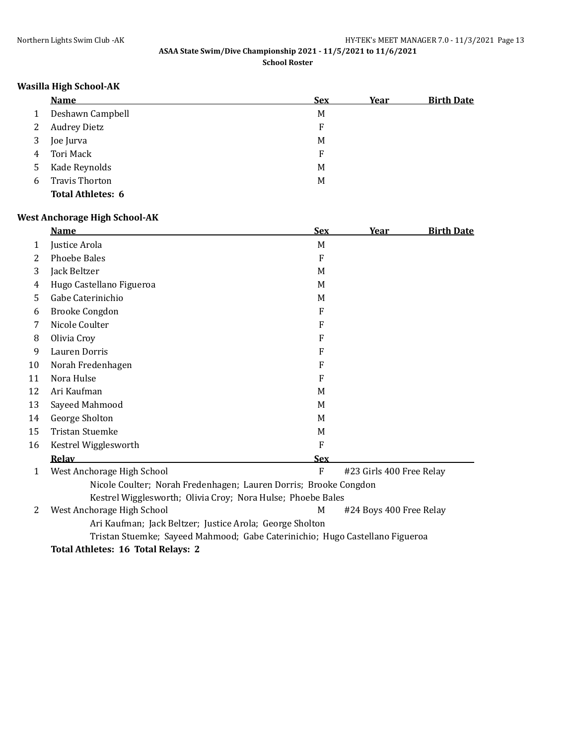## **Wasilla High School-AK**

|   | <b>Name</b>              | <u>Sex</u> | <u>Year</u> | <b>Birth Date</b> |
|---|--------------------------|------------|-------------|-------------------|
|   | Deshawn Campbell         | M          |             |                   |
|   | <b>Audrey Dietz</b>      | F          |             |                   |
| 3 | Joe Jurva                | M          |             |                   |
| 4 | Tori Mack                | E          |             |                   |
| 5 | Kade Reynolds            | M          |             |                   |
| 6 | <b>Travis Thorton</b>    | M          |             |                   |
|   | <b>Total Athletes: 6</b> |            |             |                   |

## **West Anchorage High School-AK**

|    | <b>Name</b>                                                                  | <b>Sex</b>   | <u>Year</u>              | <u>Birth Date</u> |
|----|------------------------------------------------------------------------------|--------------|--------------------------|-------------------|
| 1  | Justice Arola                                                                | M            |                          |                   |
| 2  | <b>Phoebe Bales</b>                                                          | F            |                          |                   |
| 3  | Jack Beltzer                                                                 | M            |                          |                   |
| 4  | Hugo Castellano Figueroa                                                     | M            |                          |                   |
| 5  | Gabe Caterinichio                                                            | M            |                          |                   |
| 6  | <b>Brooke Congdon</b>                                                        | F            |                          |                   |
| 7  | Nicole Coulter                                                               | F            |                          |                   |
| 8  | Olivia Croy                                                                  | F            |                          |                   |
| 9  | Lauren Dorris                                                                | F            |                          |                   |
| 10 | Norah Fredenhagen                                                            | F            |                          |                   |
| 11 | Nora Hulse                                                                   | F            |                          |                   |
| 12 | Ari Kaufman                                                                  | M            |                          |                   |
| 13 | Sayeed Mahmood                                                               | M            |                          |                   |
| 14 | George Sholton                                                               | M            |                          |                   |
| 15 | <b>Tristan Stuemke</b>                                                       | M            |                          |                   |
| 16 | Kestrel Wigglesworth                                                         | F            |                          |                   |
|    | Relav                                                                        | <b>Sex</b>   |                          |                   |
| 1  | West Anchorage High School                                                   | $\mathbf{F}$ | #23 Girls 400 Free Relay |                   |
|    | Nicole Coulter; Norah Fredenhagen; Lauren Dorris; Brooke Congdon             |              |                          |                   |
|    | Kestrel Wigglesworth; Olivia Croy; Nora Hulse; Phoebe Bales                  |              |                          |                   |
| 2  | West Anchorage High School                                                   | M            | #24 Boys 400 Free Relay  |                   |
|    | Ari Kaufman; Jack Beltzer; Justice Arola; George Sholton                     |              |                          |                   |
|    | Tristan Stuemke; Sayeed Mahmood; Gabe Caterinichio; Hugo Castellano Figueroa |              |                          |                   |
|    | Total Athletes: 16 Total Relays: 2                                           |              |                          |                   |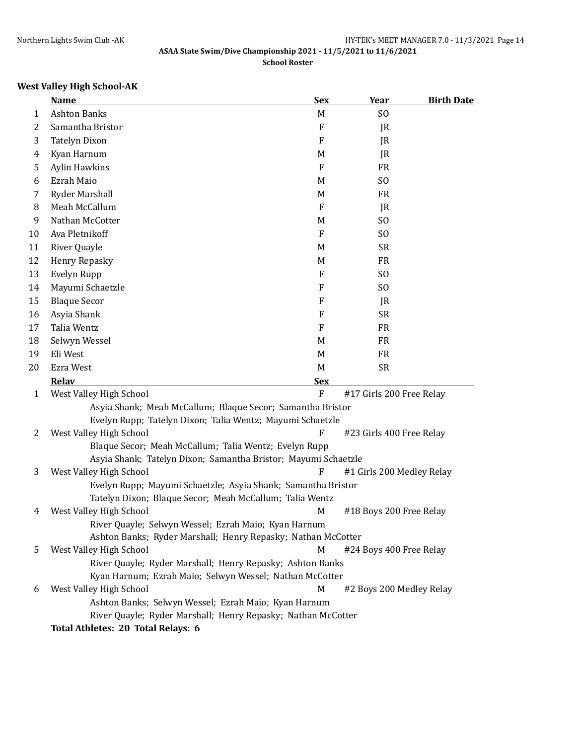# **West Valley High School-AK**

|              | <b>Name</b>                                                    | <b>Sex</b>     | Year                      | <b>Birth Date</b> |  |  |
|--------------|----------------------------------------------------------------|----------------|---------------------------|-------------------|--|--|
| 1            | <b>Ashton Banks</b>                                            | M              | SO.                       |                   |  |  |
| 2            | Samantha Bristor                                               | ${\bf F}$      | JR                        |                   |  |  |
| 3            | <b>Tatelyn Dixon</b>                                           | F              | JR                        |                   |  |  |
| 4            | Kyan Harnum                                                    | M              | JR                        |                   |  |  |
| 5            | <b>Aylin Hawkins</b>                                           | ${\bf F}$      | <b>FR</b>                 |                   |  |  |
| 6            | Ezrah Maio                                                     | M              | S <sub>O</sub>            |                   |  |  |
| 7            | <b>Ryder Marshall</b>                                          | M              | <b>FR</b>                 |                   |  |  |
| 8            | Meah McCallum                                                  | F              | JR                        |                   |  |  |
| 9            | Nathan McCotter                                                | M              | S <sub>O</sub>            |                   |  |  |
| 10           | Ava Pletnikoff                                                 | F              | S <sub>O</sub>            |                   |  |  |
| 11           | River Quayle                                                   | M              | <b>SR</b>                 |                   |  |  |
| 12           | Henry Repasky                                                  | M              | <b>FR</b>                 |                   |  |  |
| 13           | Evelyn Rupp                                                    | F              | S <sub>O</sub>            |                   |  |  |
| 14           | Mayumi Schaetzle                                               | F              | S <sub>O</sub>            |                   |  |  |
| 15           | <b>Blaque Secor</b>                                            | F              | JR                        |                   |  |  |
| 16           | Asyia Shank                                                    | F              | <b>SR</b>                 |                   |  |  |
| 17           | Talia Wentz                                                    | F              | <b>FR</b>                 |                   |  |  |
| 18           | Selwyn Wessel                                                  | M              | <b>FR</b>                 |                   |  |  |
| 19           | Eli West                                                       | M              | <b>FR</b>                 |                   |  |  |
| 20           | Ezra West                                                      | M              | <b>SR</b>                 |                   |  |  |
|              | Relav                                                          | <b>Sex</b>     |                           |                   |  |  |
| $\mathbf{1}$ | West Valley High School                                        | $\overline{F}$ | #17 Girls 200 Free Relay  |                   |  |  |
|              | Asyia Shank; Meah McCallum; Blaque Secor; Samantha Bristor     |                |                           |                   |  |  |
|              | Evelyn Rupp; Tatelyn Dixon; Talia Wentz; Mayumi Schaetzle      |                |                           |                   |  |  |
| 2            | West Valley High School                                        | F              | #23 Girls 400 Free Relay  |                   |  |  |
|              | Blaque Secor; Meah McCallum; Talia Wentz; Evelyn Rupp          |                |                           |                   |  |  |
|              | Asyia Shank; Tatelyn Dixon; Samantha Bristor; Mayumi Schaetzle |                |                           |                   |  |  |
| 3            | West Valley High School                                        | F              | #1 Girls 200 Medley Relay |                   |  |  |
|              | Evelyn Rupp; Mayumi Schaetzle; Asyia Shank; Samantha Bristor   |                |                           |                   |  |  |
|              | Tatelyn Dixon; Blaque Secor; Meah McCallum; Talia Wentz        |                |                           |                   |  |  |
| 4            | West Valley High School                                        | M              | #18 Boys 200 Free Relay   |                   |  |  |
|              | River Quayle; Selwyn Wessel; Ezrah Maio; Kyan Harnum           |                |                           |                   |  |  |
|              | Ashton Banks; Ryder Marshall; Henry Repasky; Nathan McCotter   |                |                           |                   |  |  |
| 5            | West Valley High School                                        | $\mathbf M$    | #24 Boys 400 Free Relay   |                   |  |  |
|              | River Quayle; Ryder Marshall; Henry Repasky; Ashton Banks      |                |                           |                   |  |  |
|              | Kyan Harnum; Ezrah Maio; Selwyn Wessel; Nathan McCotter        |                |                           |                   |  |  |
| 6            | West Valley High School                                        | M              | #2 Boys 200 Medley Relay  |                   |  |  |
|              | Ashton Banks; Selwyn Wessel; Ezrah Maio; Kyan Harnum           |                |                           |                   |  |  |
|              | River Quayle; Ryder Marshall; Henry Repasky; Nathan McCotter   |                |                           |                   |  |  |
|              | Total Athletes: 20 Total Relays: 6                             |                |                           |                   |  |  |